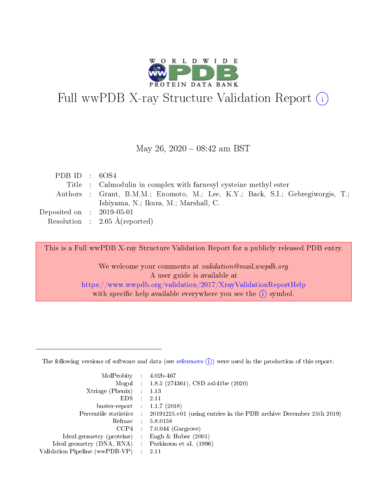

# Full wwPDB X-ray Structure Validation Report (i)

#### May 26, 2020 - 08:42 am BST

| PDB ID : $6OS4$                      |                                                                                 |
|--------------------------------------|---------------------------------------------------------------------------------|
|                                      | Title : Calmodulin in complex with farnesyl cysteine methyl ester               |
|                                      | Authors : Grant, B.M.M.; Enomoto, M.; Lee, K.Y.; Back, S.I.; Gebregiworgis, T.; |
|                                      | Ishiyama, N.; Ikura, M.; Marshall, C.                                           |
| Deposited on $\therefore$ 2019-05-01 |                                                                                 |
|                                      | Resolution : $2.05 \text{ Å}$ (reported)                                        |

This is a Full wwPDB X-ray Structure Validation Report for a publicly released PDB entry.

We welcome your comments at validation@mail.wwpdb.org A user guide is available at <https://www.wwpdb.org/validation/2017/XrayValidationReportHelp> with specific help available everywhere you see the  $(i)$  symbol.

The following versions of software and data (see [references](https://www.wwpdb.org/validation/2017/XrayValidationReportHelp#references)  $(1)$ ) were used in the production of this report:

| MolProbity                     | $\mathcal{L}_{\rm{max}}$ | $4.02b - 467$                                                                |
|--------------------------------|--------------------------|------------------------------------------------------------------------------|
|                                |                          | Mogul : $1.8.5$ (274361), CSD as 541be (2020)                                |
| $X$ triage (Phenix) :          |                          | 1.13                                                                         |
| EDS.                           |                          | 2.11                                                                         |
| buster-report : $1.1.7$ (2018) |                          |                                                                              |
| Percentile statistics :        |                          | $20191225 \text{ v}01$ (using entries in the PDB archive December 25th 2019) |
| Refmac                         |                          | 5.8.0158                                                                     |
| $CCP4$ :                       |                          | $7.0.044$ (Gargrove)                                                         |
| Ideal geometry (proteins) :    |                          | Engh $\&$ Huber (2001)                                                       |
| Ideal geometry (DNA, RNA) :    |                          | Parkinson et al. (1996)                                                      |
| Validation Pipeline (wwPDB-VP) | $\mathcal{L}$            | -2.11                                                                        |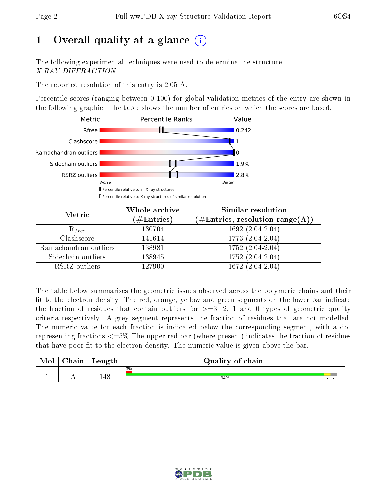# 1 [O](https://www.wwpdb.org/validation/2017/XrayValidationReportHelp#overall_quality)verall quality at a glance  $(i)$

The following experimental techniques were used to determine the structure: X-RAY DIFFRACTION

The reported resolution of this entry is 2.05 Å.

Percentile scores (ranging between 0-100) for global validation metrics of the entry are shown in the following graphic. The table shows the number of entries on which the scores are based.



| Metric                | Whole archive<br>$(\#Entries)$ | Similar resolution<br>$(\#\text{Entries},\, \text{resolution}\; \text{range}(\textup{\AA}))$ |  |  |
|-----------------------|--------------------------------|----------------------------------------------------------------------------------------------|--|--|
| $R_{free}$            | 130704                         | $1692(2.04-2.04)$                                                                            |  |  |
| Clashscore            | 141614                         | 1773 (2.04-2.04)                                                                             |  |  |
| Ramachandran outliers | 138981                         | $1752 (2.04 - 2.04)$                                                                         |  |  |
| Sidechain outliers    | 138945                         | 1752 (2.04-2.04)                                                                             |  |  |
| RSRZ outliers         | 127900                         | $1672(2.04-2.04)$                                                                            |  |  |

The table below summarises the geometric issues observed across the polymeric chains and their fit to the electron density. The red, orange, yellow and green segments on the lower bar indicate the fraction of residues that contain outliers for  $>=3, 2, 1$  and 0 types of geometric quality criteria respectively. A grey segment represents the fraction of residues that are not modelled. The numeric value for each fraction is indicated below the corresponding segment, with a dot representing fractions  $\epsilon=5\%$  The upper red bar (where present) indicates the fraction of residues that have poor fit to the electron density. The numeric value is given above the bar.

| Mol | $\cap$ hain | Length | Quality of chain |
|-----|-------------|--------|------------------|
|     |             |        | 3%               |
|     |             | .48    | 94%              |

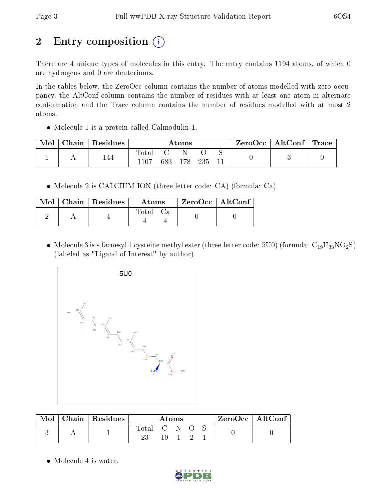# 2 Entry composition  $\left( \cdot \right)$

There are 4 unique types of molecules in this entry. The entry contains 1194 atoms, of which 0 are hydrogens and 0 are deuteriums.

In the tables below, the ZeroOcc column contains the number of atoms modelled with zero occupancy, the AltConf column contains the number of residues with at least one atom in alternate conformation and the Trace column contains the number of residues modelled with at most 2 atoms.

• Molecule 1 is a protein called Calmodulin-1.

| Mol | ${\rm Chain}$ | Residues | Atoms            |     |     | ⊦ ZeroOcc∣ | $\mid$ AltConf $\mid$ Trace |  |  |  |
|-----|---------------|----------|------------------|-----|-----|------------|-----------------------------|--|--|--|
|     |               | 144      | Total<br>$-1107$ | 683 | 178 | 235        |                             |  |  |  |

Molecule 2 is CALCIUM ION (three-letter code: CA) (formula: Ca).

|  | $Mol$   Chain   Residues | <b>Atoms</b> | ZeroOcc   AltConf |  |
|--|--------------------------|--------------|-------------------|--|
|  |                          | Total Ca     |                   |  |

• Molecule 3 is s-farnesyl-l-cysteine methyl ester (three-letter code: 5U0) (formula:  $C_{19}H_{33}NO_2S$ ) (labeled as "Ligand of Interest" by author).



| Mol | Chain   Residues $\frac{1}{2}$ | Atoms     |  |  |  | $ZeroOcc \   \ AltConf \  $ |  |  |
|-----|--------------------------------|-----------|--|--|--|-----------------------------|--|--|
|     |                                | Total C N |  |  |  |                             |  |  |
|     |                                |           |  |  |  |                             |  |  |

• Molecule 4 is water.

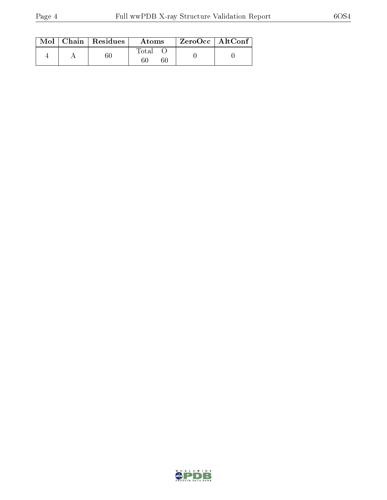|  | $\text{Mol}$   Chain   Residues | Atoms | $ZeroOcc \   \$ AltConf |
|--|---------------------------------|-------|-------------------------|
|  |                                 | Total |                         |

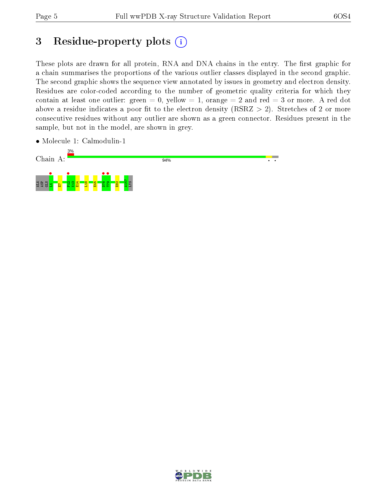# 3 Residue-property plots  $(i)$

These plots are drawn for all protein, RNA and DNA chains in the entry. The first graphic for a chain summarises the proportions of the various outlier classes displayed in the second graphic. The second graphic shows the sequence view annotated by issues in geometry and electron density. Residues are color-coded according to the number of geometric quality criteria for which they contain at least one outlier: green  $= 0$ , yellow  $= 1$ , orange  $= 2$  and red  $= 3$  or more. A red dot above a residue indicates a poor fit to the electron density (RSRZ  $> 2$ ). Stretches of 2 or more consecutive residues without any outlier are shown as a green connector. Residues present in the sample, but not in the model, are shown in grey.

• Molecule 1: Calmodulin-1



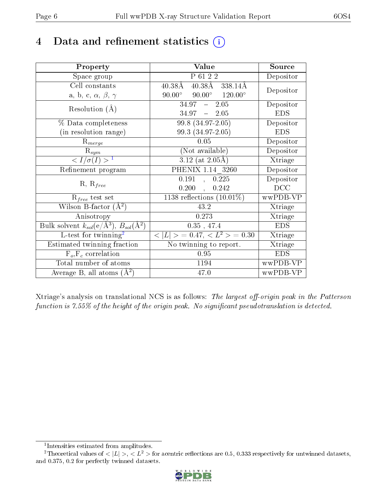## 4 Data and refinement statistics  $(i)$

| Property                                                                 | Value                                                     | Source     |
|--------------------------------------------------------------------------|-----------------------------------------------------------|------------|
| Space group                                                              | P 61 2 2                                                  | Depositor  |
| Cell constants                                                           | $40.38\text{\AA}$ $338.14\text{\AA}$<br>$40.38\text{\AA}$ |            |
| a, b, c, $\alpha$ , $\beta$ , $\gamma$                                   | $90.00^{\circ}$ $90.00^{\circ}$ $120.00^{\circ}$          | Depositor  |
| Resolution $(A)$                                                         | $34.97 - 2.05$                                            | Depositor  |
|                                                                          | $34.97 = 2.05$                                            | <b>EDS</b> |
| % Data completeness                                                      | $\overline{99.8 (34.97-2.05)}$                            | Depositor  |
| (in resolution range)                                                    | 99.3 (34.97-2.05)                                         | <b>EDS</b> |
| $R_{merge}$                                                              | 0.05                                                      | Depositor  |
| $\mathrm{R}_{sym}$                                                       | (Not available)                                           | Depositor  |
| $\langle I/\sigma(I) \rangle^{-1}$                                       | $3.12$ (at 2.05Å)                                         | Xtriage    |
| Refinement program                                                       | PHENIX 1.14 3260                                          | Depositor  |
| $R, R_{free}$                                                            | 0.191<br>0.225<br>$\mathcal{L}$                           | Depositor  |
|                                                                          | 0.200,<br>0.242                                           | DCC        |
| $R_{free}$ test set                                                      | 1138 reflections $(10.01\%)$                              | wwPDB-VP   |
| Wilson B-factor $(A^2)$                                                  | 43.2                                                      | Xtriage    |
| Anisotropy                                                               | 0.273                                                     | Xtriage    |
| Bulk solvent $k_{sol}(\mathrm{e}/\mathrm{A}^3),$ $B_{sol}(\mathrm{A}^2)$ | 0.35, 47.4                                                | <b>EDS</b> |
| L-test for twinning <sup>2</sup>                                         | $< L >$ = 0.47, $< L2 >$ = 0.30                           | Xtriage    |
| Estimated twinning fraction                                              | $\overline{\text{No}}$ twinning to report.                | Xtriage    |
| $F_o, F_c$ correlation                                                   | 0.95                                                      | <b>EDS</b> |
| Total number of atoms                                                    | 1194                                                      | wwPDB-VP   |
| Average B, all atoms $(A^2)$                                             | 47.0                                                      | wwPDB-VP   |

Xtriage's analysis on translational NCS is as follows: The largest off-origin peak in the Patterson function is  $7.55\%$  of the height of the origin peak. No significant pseudotranslation is detected.

<sup>&</sup>lt;sup>2</sup>Theoretical values of  $\langle |L| \rangle$ ,  $\langle L^2 \rangle$  for acentric reflections are 0.5, 0.333 respectively for untwinned datasets, and 0.375, 0.2 for perfectly twinned datasets.



<span id="page-5-1"></span><span id="page-5-0"></span><sup>1</sup> Intensities estimated from amplitudes.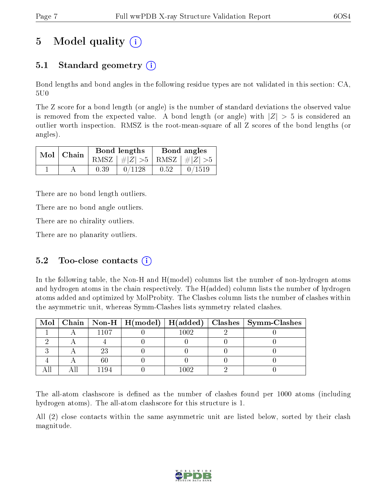# 5 Model quality  $(i)$

### 5.1 Standard geometry  $(i)$

Bond lengths and bond angles in the following residue types are not validated in this section: CA, 5U0

The Z score for a bond length (or angle) is the number of standard deviations the observed value is removed from the expected value. A bond length (or angle) with  $|Z| > 5$  is considered an outlier worth inspection. RMSZ is the root-mean-square of all Z scores of the bond lengths (or angles).

|  | $Mol$   Chain |      | Bond lengths                    | Bond angles |        |  |
|--|---------------|------|---------------------------------|-------------|--------|--|
|  |               |      | RMSZ $ #Z  > 5$ RMSZ $ #Z  > 5$ |             |        |  |
|  |               | 0.39 | 0/1128                          | 0.52        | 0/1519 |  |

There are no bond length outliers.

There are no bond angle outliers.

There are no chirality outliers.

There are no planarity outliers.

### 5.2 Too-close contacts  $(i)$

In the following table, the Non-H and H(model) columns list the number of non-hydrogen atoms and hydrogen atoms in the chain respectively. The H(added) column lists the number of hydrogen atoms added and optimized by MolProbity. The Clashes column lists the number of clashes within the asymmetric unit, whereas Symm-Clashes lists symmetry related clashes.

|  |      |          | Mol   Chain   Non-H   H(model)   H(added)   Clashes   Symm-Clashes |
|--|------|----------|--------------------------------------------------------------------|
|  | 1107 | $1002\,$ |                                                                    |
|  |      |          |                                                                    |
|  |      |          |                                                                    |
|  |      |          |                                                                    |
|  |      | 1002     |                                                                    |

The all-atom clashscore is defined as the number of clashes found per 1000 atoms (including hydrogen atoms). The all-atom clashscore for this structure is 1.

All (2) close contacts within the same asymmetric unit are listed below, sorted by their clash magnitude.

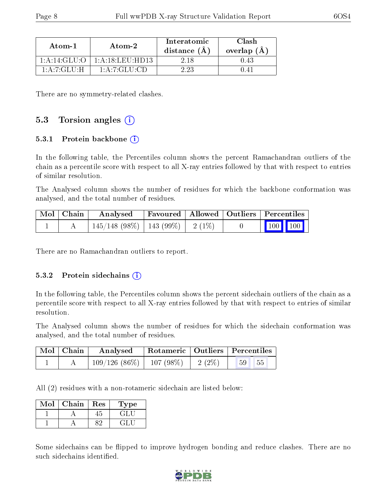| Atom-1         | Atom-2           | Interatomic<br>distance $(A)$ | Clash<br>overlap $(A)$ |
|----------------|------------------|-------------------------------|------------------------|
| 1:A:14:GLU:O   | 1: A:18:LEU:HD13 | 2.18                          |                        |
| 1: A: 7: GLU:H | 1: A: 7: GLU: CD | 2 23                          |                        |

There are no symmetry-related clashes.

#### 5.3 Torsion angles  $(i)$

#### 5.3.1 Protein backbone (i)

In the following table, the Percentiles column shows the percent Ramachandran outliers of the chain as a percentile score with respect to all X-ray entries followed by that with respect to entries of similar resolution.

The Analysed column shows the number of residues for which the backbone conformation was analysed, and the total number of residues.

| $\vert$ Mol $\vert$ Chain $\vert$ | Analysed                                |  | Favoured   Allowed   Outliers   Percentiles                                        |  |
|-----------------------------------|-----------------------------------------|--|------------------------------------------------------------------------------------|--|
|                                   | $145/148$ (98\%)   143 (99\%)   2 (1\%) |  | $\begin{array}{ c c c c c }\n\hline\n\multicolumn{1}{ c }{100} & 100\n\end{array}$ |  |

There are no Ramachandran outliers to report.

#### 5.3.2 Protein sidechains  $(i)$

In the following table, the Percentiles column shows the percent sidechain outliers of the chain as a percentile score with respect to all X-ray entries followed by that with respect to entries of similar resolution.

The Analysed column shows the number of residues for which the sidechain conformation was analysed, and the total number of residues.

| $\mid$ Mol $\mid$ Chain | Analysed                      |           | Rotameric   Outliers   Percentiles |  |
|-------------------------|-------------------------------|-----------|------------------------------------|--|
|                         | $109/126$ (86\%)   107 (98\%) | 2 $(2\%)$ | 55<br>59 <sup>°</sup>              |  |

All (2) residues with a non-rotameric sidechain are listed below:

| Mol | Chain | Res | Type                      |
|-----|-------|-----|---------------------------|
|     |       |     | $\mathbf{G}^{\mathrm{H}}$ |
|     |       |     | ÷L.                       |

Some sidechains can be flipped to improve hydrogen bonding and reduce clashes. There are no such sidechains identified.

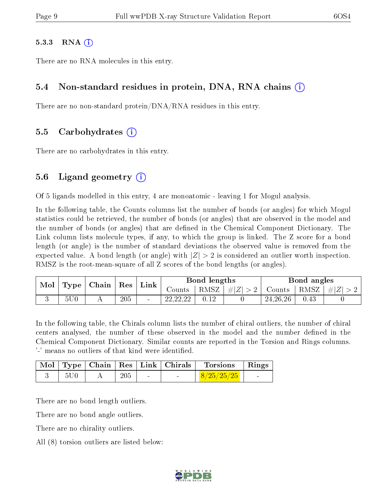#### $5.3.3$  RNA  $(i)$

There are no RNA molecules in this entry.

#### 5.4 Non-standard residues in protein, DNA, RNA chains (i)

There are no non-standard protein/DNA/RNA residues in this entry.

#### 5.5 Carbohydrates (i)

There are no carbohydrates in this entry.

#### 5.6 Ligand geometry  $(i)$

Of 5 ligands modelled in this entry, 4 are monoatomic - leaving 1 for Mogul analysis.

In the following table, the Counts columns list the number of bonds (or angles) for which Mogul statistics could be retrieved, the number of bonds (or angles) that are observed in the model and the number of bonds (or angles) that are defined in the Chemical Component Dictionary. The Link column lists molecule types, if any, to which the group is linked. The Z score for a bond length (or angle) is the number of standard deviations the observed value is removed from the expected value. A bond length (or angle) with  $|Z| > 2$  is considered an outlier worth inspection. RMSZ is the root-mean-square of all Z scores of the bond lengths (or angles).

| Mol | Type            | Chain |         |  |                          | ${\mathbf Res}$ | Link           |            | Bond lengths |           |  | Bond angles |  |
|-----|-----------------|-------|---------|--|--------------------------|-----------------|----------------|------------|--------------|-----------|--|-------------|--|
|     |                 |       |         |  | Counts-                  | RMSZ            | $\vert \#  Z $ | Counts     | RMSZ         | $\pm  Z $ |  |             |  |
|     | 5U <sub>0</sub> |       | $205\,$ |  | . റെ. റെ. ററ<br>22.22.22 |                 |                | 24, 26, 26 | 0.43         |           |  |             |  |

In the following table, the Chirals column lists the number of chiral outliers, the number of chiral centers analysed, the number of these observed in the model and the number defined in the Chemical Component Dictionary. Similar counts are reported in the Torsion and Rings columns. '-' means no outliers of that kind were identified.

|     |     |                          | Mol   Type   Chain   Res   Link   Chirals | Torsions   Rings |  |
|-----|-----|--------------------------|-------------------------------------------|------------------|--|
| 5U0 | 205 | <b>Contract Contract</b> |                                           | 8/25/25/25       |  |

There are no bond length outliers.

There are no bond angle outliers.

There are no chirality outliers.

All (8) torsion outliers are listed below:

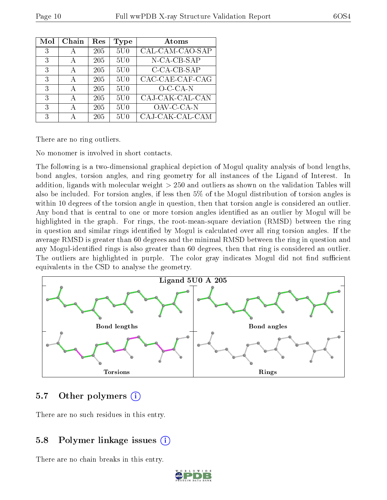| $\operatorname{Mol}$ | Chain | Res | Type            | Atoms           |
|----------------------|-------|-----|-----------------|-----------------|
| 3                    |       | 205 | 5U0             | CAL-CAM-CAO-SAP |
| 3                    | А     | 205 | 5U <sub>0</sub> | N-CA-CB-SAP     |
| 3                    | А     | 205 | 5U0             | C-CA-CB-SAP     |
| 3                    | А     | 205 | 5U <sub>0</sub> | CAC-CAE-CAF-CAG |
| 3                    | А     | 205 | 5U0             | $O-CA-N$        |
| 3                    | А     | 205 | 5U <sub>0</sub> | CAJ-CAK-CAL-CAN |
| 3                    |       | 205 | 5U <sub>0</sub> | OAV-C-CA-N      |
| 3                    |       | 205 | 5U <sub>0</sub> | CAJ-CAK-CAL-CAM |

There are no ring outliers.

No monomer is involved in short contacts.

The following is a two-dimensional graphical depiction of Mogul quality analysis of bond lengths, bond angles, torsion angles, and ring geometry for all instances of the Ligand of Interest. In addition, ligands with molecular weight > 250 and outliers as shown on the validation Tables will also be included. For torsion angles, if less then 5% of the Mogul distribution of torsion angles is within 10 degrees of the torsion angle in question, then that torsion angle is considered an outlier. Any bond that is central to one or more torsion angles identified as an outlier by Mogul will be highlighted in the graph. For rings, the root-mean-square deviation (RMSD) between the ring in question and similar rings identified by Mogul is calculated over all ring torsion angles. If the average RMSD is greater than 60 degrees and the minimal RMSD between the ring in question and any Mogul-identied rings is also greater than 60 degrees, then that ring is considered an outlier. The outliers are highlighted in purple. The color gray indicates Mogul did not find sufficient equivalents in the CSD to analyse the geometry.



### 5.7 [O](https://www.wwpdb.org/validation/2017/XrayValidationReportHelp#nonstandard_residues_and_ligands)ther polymers (i)

There are no such residues in this entry.

### 5.8 Polymer linkage issues  $(i)$

There are no chain breaks in this entry.

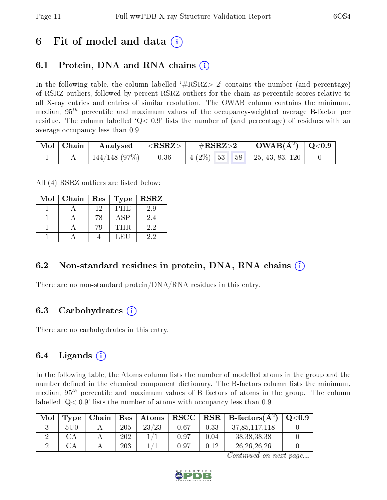## 6 Fit of model and data  $\left( \cdot \right)$

### 6.1 Protein, DNA and RNA chains (i)

In the following table, the column labelled  $#RSRZ>2'$  contains the number (and percentage) of RSRZ outliers, followed by percent RSRZ outliers for the chain as percentile scores relative to all X-ray entries and entries of similar resolution. The OWAB column contains the minimum, median,  $95<sup>th</sup>$  percentile and maximum values of the occupancy-weighted average B-factor per residue. The column labelled  $Q < 0.9$  lists the number of (and percentage) of residues with an average occupancy less than 0.9.

| $\mid$ Mol $\mid$ Chain | $\mid$ Analysed $\mid$ <rsrz> <math>\mid</math></rsrz> | $\rm \#RSRZ{>}2$ |  | $\rm OWAB(\AA^2) \mid Q<0.9$                |  |
|-------------------------|--------------------------------------------------------|------------------|--|---------------------------------------------|--|
|                         | $144/148$ (97\%)   0.36                                |                  |  | $\mid$ 4 (2\%) 53 58 $\mid$ 25, 43, 83, 120 |  |

All (4) RSRZ outliers are listed below:

| Mol | Chain | ${\mathop{\mathrm{Res}}\nolimits}$<br>Type |             | <b>RSRZ</b> |
|-----|-------|--------------------------------------------|-------------|-------------|
|     |       | 12                                         | PHE         | 2.9         |
|     |       | 78                                         | ${\rm ASP}$ | 2.4         |
|     |       | 79                                         | THR.        | 2.2         |
|     |       |                                            | LEU         | 22          |

#### 6.2 Non-standard residues in protein, DNA, RNA chains  $(i)$

There are no non-standard protein/DNA/RNA residues in this entry.

### 6.3 Carbohydrates (i)

There are no carbohydrates in this entry.

### 6.4 Ligands  $(i)$

In the following table, the Atoms column lists the number of modelled atoms in the group and the number defined in the chemical component dictionary. The B-factors column lists the minimum, median,  $95<sup>th</sup>$  percentile and maximum values of B factors of atoms in the group. The column labelled  $Q< 0.9$  lists the number of atoms with occupancy less than 0.9.

| Mol | Type | Chain | $\overline{\phantom{a}}$ Res $^+$ | Atoms | $_{\rm RSCC}$ |      | $RSR \mid$ B-factors $(A^2)$ | $\mathrm{Q}{<}0.9$ |
|-----|------|-------|-----------------------------------|-------|---------------|------|------------------------------|--------------------|
|     | 5U0  |       | 205                               | 23/23 | 0.67          | 0.33 | 37,85,117,118                |                    |
|     |      |       | 202                               |       | 0.97          | 0.04 | 38, 38, 38, 38               |                    |
|     |      |       | 203                               |       | $0.97\,$      | 0.12 | 26, 26, 26, 26               |                    |

Continued on next page...